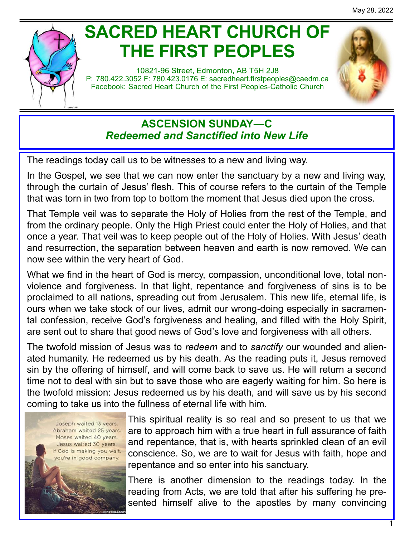

# **SACRED HEART CHURCH OF THE FIRST PEOPLES**

10821-96 Street, Edmonton, AB T5H 2J8 P: 780.422.3052 F: 780.423.0176 E: [sacredheart.](mailto:sacredheart.firstpeoples@caedm.ca)firstpeoples@caedm.ca Facebook: Sacred Heart Church of the First Peoples-Catholic Church



## **ASCENSION SUNDAY—C** *Redeemed and Sanctified into New Life*

The readings today call us to be witnesses to a new and living way.

In the Gospel, we see that we can now enter the sanctuary by a new and living way, through the curtain of Jesus' flesh. This of course refers to the curtain of the Temple that was torn in two from top to bottom the moment that Jesus died upon the cross.

That Temple veil was to separate the Holy of Holies from the rest of the Temple, and from the ordinary people. Only the High Priest could enter the Holy of Holies, and that once a year. That veil was to keep people out of the Holy of Holies. With Jesus' death and resurrection, the separation between heaven and earth is now removed. We can now see within the very heart of God.

What we find in the heart of God is mercy, compassion, unconditional love, total nonviolence and forgiveness. In that light, repentance and forgiveness of sins is to be proclaimed to all nations, spreading out from Jerusalem. This new life, eternal life, is ours when we take stock of our lives, admit our wrong-doing especially in sacramental confession, receive God's forgiveness and healing, and filled with the Holy Spirit, are sent out to share that good news of God's love and forgiveness with all others.

The twofold mission of Jesus was to *redeem* and to *sanctify* our wounded and alienated humanity. He redeemed us by his death. As the reading puts it, Jesus removed sin by the offering of himself, and will come back to save us. He will return a second time not to deal with sin but to save those who are eagerly waiting for him. So here is the twofold mission: Jesus redeemed us by his death, and will save us by his second coming to take us into the fullness of eternal life with him.



This spiritual reality is so real and so present to us that we are to approach him with a true heart in full assurance of faith and repentance, that is, with hearts sprinkled clean of an evil conscience. So, we are to wait for Jesus with faith, hope and repentance and so enter into his sanctuary.

There is another dimension to the readings today. In the reading from Acts, we are told that after his suffering he presented himself alive to the apostles by many convincing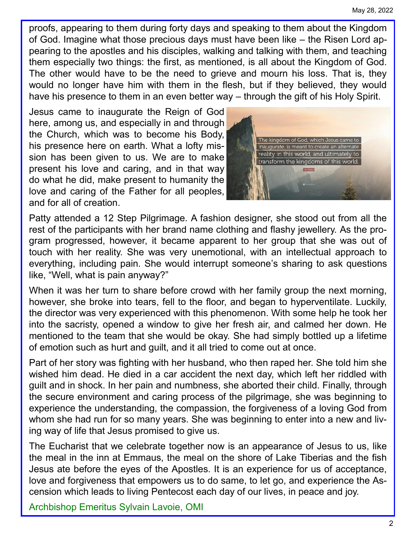proofs, appearing to them during forty days and speaking to them about the Kingdom of God. Imagine what those precious days must have been like – the Risen Lord appearing to the apostles and his disciples, walking and talking with them, and teaching them especially two things: the first, as mentioned, is all about the Kingdom of God. The other would have to be the need to grieve and mourn his loss. That is, they would no longer have him with them in the flesh, but if they believed, they would have his presence to them in an even better way – through the gift of his Holy Spirit.

Jesus came to inaugurate the Reign of God here, among us, and especially in and through the Church, which was to become his Body, his presence here on earth. What a lofty mission has been given to us. We are to make present his love and caring, and in that way do what he did, make present to humanity the love and caring of the Father for all peoples, and for all of creation.



Patty attended a 12 Step Pilgrimage. A fashion designer, she stood out from all the rest of the participants with her brand name clothing and flashy jewellery. As the program progressed, however, it became apparent to her group that she was out of touch with her reality. She was very unemotional, with an intellectual approach to everything, including pain. She would interrupt someone's sharing to ask questions like, "Well, what is pain anyway?"

When it was her turn to share before crowd with her family group the next morning, however, she broke into tears, fell to the floor, and began to hyperventilate. Luckily, the director was very experienced with this phenomenon. With some help he took her into the sacristy, opened a window to give her fresh air, and calmed her down. He mentioned to the team that she would be okay. She had simply bottled up a lifetime of emotion such as hurt and guilt, and it all tried to come out at once.

Part of her story was fighting with her husband, who then raped her. She told him she wished him dead. He died in a car accident the next day, which left her riddled with guilt and in shock. In her pain and numbness, she aborted their child. Finally, through the secure environment and caring process of the pilgrimage, she was beginning to experience the understanding, the compassion, the forgiveness of a loving God from whom she had run for so many years. She was beginning to enter into a new and living way of life that Jesus promised to give us.

The Eucharist that we celebrate together now is an appearance of Jesus to us, like the meal in the inn at Emmaus, the meal on the shore of Lake Tiberias and the fish Jesus ate before the eyes of the Apostles. It is an experience for us of acceptance, love and forgiveness that empowers us to do same, to let go, and experience the Ascension which leads to living Pentecost each day of our lives, in peace and joy.

Archbishop Emeritus Sylvain Lavoie, OMI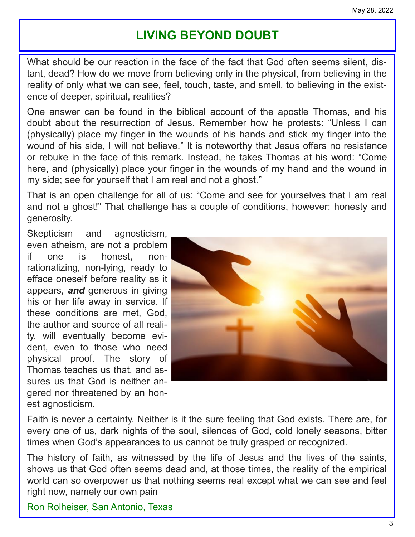# **LIVING BEYOND DOUBT**

What should be our reaction in the face of the fact that God often seems silent, distant, dead? How do we move from believing only in the physical, from believing in the reality of only what we can see, feel, touch, taste, and smell, to believing in the existence of deeper, spiritual, realities?

One answer can be found in the biblical account of the apostle Thomas, and his doubt about the resurrection of Jesus. Remember how he protests: "Unless I can (physically) place my finger in the wounds of his hands and stick my finger into the wound of his side, I will not believe." It is noteworthy that Jesus offers no resistance or rebuke in the face of this remark. Instead, he takes Thomas at his word: "Come here, and (physically) place your finger in the wounds of my hand and the wound in my side; see for yourself that I am real and not a ghost."

That is an open challenge for all of us: "Come and see for yourselves that I am real and not a ghost!" That challenge has a couple of conditions, however: honesty and generosity.

Skepticism and agnosticism, even atheism, are not a problem if one is honest, nonrationalizing, non-lying, ready to efface oneself before reality as it appears, *and* generous in giving his or her life away in service. If these conditions are met, God, the author and source of all reality, will eventually become evident, even to those who need physical proof. The story of Thomas teaches us that, and assures us that God is neither angered nor threatened by an honest agnosticism.



Faith is never a certainty. Neither is it the sure feeling that God exists. There are, for every one of us, dark nights of the soul, silences of God, cold lonely seasons, bitter times when God's appearances to us cannot be truly grasped or recognized.

The history of faith, as witnessed by the life of Jesus and the lives of the saints, shows us that God often seems dead and, at those times, the reality of the empirical world can so overpower us that nothing seems real except what we can see and feel right now, namely our own pain

Ron Rolheiser, San Antonio, Texas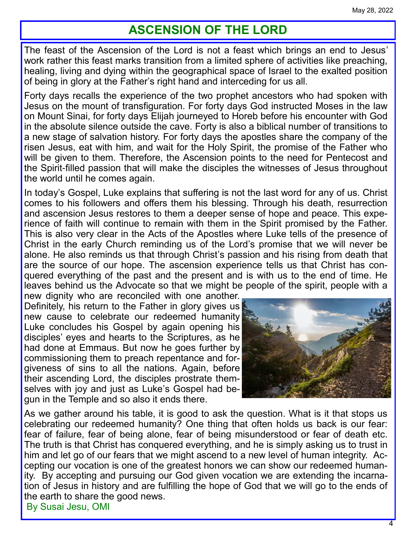## **ASCENSION OF THE LORD**

The feast of the Ascension of the Lord is not a feast which brings an end to Jesus' work rather this feast marks transition from a limited sphere of activities like preaching, healing, living and dying within the geographical space of Israel to the exalted position of being in glory at the Father's right hand and interceding for us all.

Forty days recalls the experience of the two prophet ancestors who had spoken with Jesus on the mount of transfiguration. For forty days God instructed Moses in the law on Mount Sinai, for forty days Elijah journeyed to Horeb before his encounter with God in the absolute silence outside the cave. Forty is also a biblical number of transitions to a new stage of salvation history. For forty days the apostles share the company of the risen Jesus, eat with him, and wait for the Holy Spirit, the promise of the Father who will be given to them. Therefore, the Ascension points to the need for Pentecost and the Spirit-filled passion that will make the disciples the witnesses of Jesus throughout the world until he comes again.

In today's Gospel, Luke explains that suffering is not the last word for any of us. Christ comes to his followers and offers them his blessing. Through his death, resurrection and ascension Jesus restores to them a deeper sense of hope and peace. This experience of faith will continue to remain with them in the Spirit promised by the Father. This is also very clear in the Acts of the Apostles where Luke tells of the presence of Christ in the early Church reminding us of the Lord's promise that we will never be alone. He also reminds us that through Christ's passion and his rising from death that are the source of our hope. The ascension experience tells us that Christ has conquered everything of the past and the present and is with us to the end of time. He leaves behind us the Advocate so that we might be people of the spirit, people with a

new dignity who are reconciled with one another. Definitely, his return to the Father in glory gives us new cause to celebrate our redeemed humanity Luke concludes his Gospel by again opening his disciples' eyes and hearts to the Scriptures, as he had done at Emmaus. But now he goes further by commissioning them to preach repentance and forgiveness of sins to all the nations. Again, before their ascending Lord, the disciples prostrate themselves with joy and just as Luke's Gospel had begun in the Temple and so also it ends there.



As we gather around his table, it is good to ask the question. What is it that stops us celebrating our redeemed humanity? One thing that often holds us back is our fear: fear of failure, fear of being alone, fear of being misunderstood or fear of death etc. The truth is that Christ has conquered everything, and he is simply asking us to trust in him and let go of our fears that we might ascend to a new level of human integrity. Accepting our vocation is one of the greatest honors we can show our redeemed humanity. By accepting and pursuing our God given vocation we are extending the incarnation of Jesus in history and are fulfilling the hope of God that we will go to the ends of the earth to share the good news. By Susai Jesu, OMI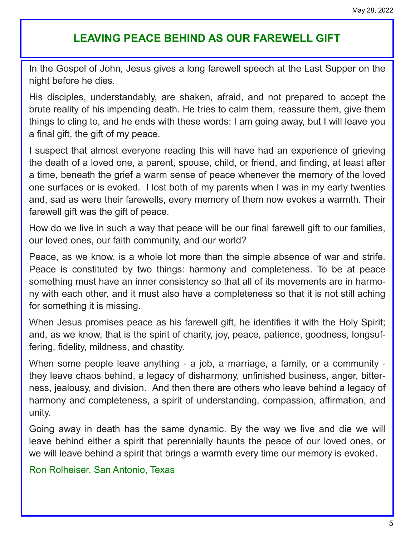## **LEAVING PEACE BEHIND AS OUR FAREWELL GIFT**

In the Gospel of John, Jesus gives a long farewell speech at the Last Supper on the night before he dies.

His disciples, understandably, are shaken, afraid, and not prepared to accept the brute reality of his impending death. He tries to calm them, reassure them, give them things to cling to, and he ends with these words: I am going away, but I will leave you a final gift, the gift of my peace.

I suspect that almost everyone reading this will have had an experience of grieving the death of a loved one, a parent, spouse, child, or friend, and finding, at least after a time, beneath the grief a warm sense of peace whenever the memory of the loved one surfaces or is evoked. I lost both of my parents when I was in my early twenties and, sad as were their farewells, every memory of them now evokes a warmth. Their farewell gift was the gift of peace.

How do we live in such a way that peace will be our final farewell gift to our families, our loved ones, our faith community, and our world?

Peace, as we know, is a whole lot more than the simple absence of war and strife. Peace is constituted by two things: harmony and completeness. To be at peace something must have an inner consistency so that all of its movements are in harmony with each other, and it must also have a completeness so that it is not still aching for something it is missing.

When Jesus promises peace as his farewell gift, he identifies it with the Holy Spirit; and, as we know, that is the spirit of charity, joy, peace, patience, goodness, longsuffering, fidelity, mildness, and chastity.

When some people leave anything - a job, a marriage, a family, or a community they leave chaos behind, a legacy of disharmony, unfinished business, anger, bitterness, jealousy, and division. And then there are others who leave behind a legacy of harmony and completeness, a spirit of understanding, compassion, affirmation, and unity.

Going away in death has the same dynamic. By the way we live and die we will leave behind either a spirit that perennially haunts the peace of our loved ones, or we will leave behind a spirit that brings a warmth every time our memory is evoked.

Ron Rolheiser, San Antonio, Texas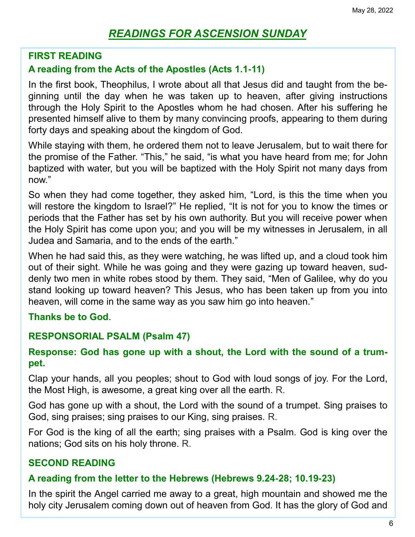## *READINGS FOR ASCENSION SUNDAY*

#### **FIRST READING**

#### **A reading from the Acts of the Apostles (Acts 1.1-11)**

In the first book, Theophilus, I wrote about all that Jesus did and taught from the beginning until the day when he was taken up to heaven, after giving instructions through the Holy Spirit to the Apostles whom he had chosen. After his suffering he presented himself alive to them by many convincing proofs, appearing to them during forty days and speaking about the kingdom of God.

While staying with them, he ordered them not to leave Jerusalem, but to wait there for the promise of the Father. "This," he said, "is what you have heard from me; for John baptized with water, but you will be baptized with the Holy Spirit not many days from now."

So when they had come together, they asked him, "Lord, is this the time when you will restore the kingdom to Israel?" He replied, "It is not for you to know the times or periods that the Father has set by his own authority. But you will receive power when the Holy Spirit has come upon you; and you will be my witnesses in Jerusalem, in all Judea and Samaria, and to the ends of the earth."

When he had said this, as they were watching, he was lifted up, and a cloud took him out of their sight. While he was going and they were gazing up toward heaven, suddenly two men in white robes stood by them. They said, "Men of Galilee, why do you stand looking up toward heaven? This Jesus, who has been taken up from you into heaven, will come in the same way as you saw him go into heaven."

#### **Thanks be to God**.

#### **RESPONSORIAL PSALM (Psalm 47)**

#### **Response: God has gone up with a shout, the Lord with the sound of a trumpet.**

Clap your hands, all you peoples; shout to God with loud songs of joy. For the Lord, the Most High, is awesome, a great king over all the earth. R.

God has gone up with a shout, the Lord with the sound of a trumpet. Sing praises to God, sing praises; sing praises to our King, sing praises. R.

For God is the king of all the earth; sing praises with a Psalm. God is king over the nations; God sits on his holy throne. R.

#### **SECOND READING**

#### **A reading from the letter to the Hebrews (Hebrews 9.24-28; 10.19-23)**

In the spirit the Angel carried me away to a great, high mountain and showed me the holy city Jerusalem coming down out of heaven from God. It has the glory of God and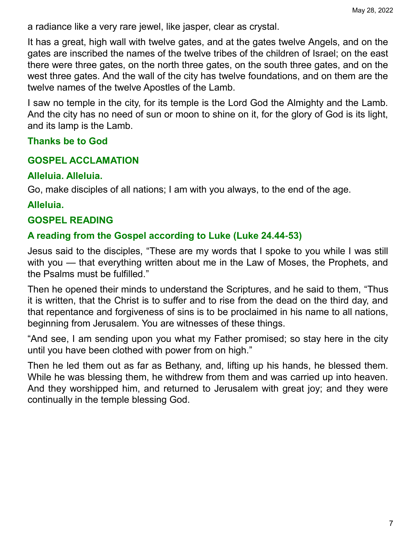a radiance like a very rare jewel, like jasper, clear as crystal.

It has a great, high wall with twelve gates, and at the gates twelve Angels, and on the gates are inscribed the names of the twelve tribes of the children of Israel; on the east there were three gates, on the north three gates, on the south three gates, and on the west three gates. And the wall of the city has twelve foundations, and on them are the twelve names of the twelve Apostles of the Lamb.

I saw no temple in the city, for its temple is the Lord God the Almighty and the Lamb. And the city has no need of sun or moon to shine on it, for the glory of God is its light, and its lamp is the Lamb.

#### **Thanks be to God**

#### **GOSPEL ACCLAMATION**

#### **Alleluia. Alleluia.**

Go, make disciples of all nations; I am with you always, to the end of the age.

#### **Alleluia.**

### **GOSPEL READING**

#### **A reading from the Gospel according to Luke (Luke 24.44-53)**

Jesus said to the disciples, "These are my words that I spoke to you while I was still with you — that everything written about me in the Law of Moses, the Prophets, and the Psalms must be fulfilled."

Then he opened their minds to understand the Scriptures, and he said to them, "Thus it is written, that the Christ is to suffer and to rise from the dead on the third day, and that repentance and forgiveness of sins is to be proclaimed in his name to all nations, beginning from Jerusalem. You are witnesses of these things.

"And see, I am sending upon you what my Father promised; so stay here in the city until you have been clothed with power from on high."

Then he led them out as far as Bethany, and, lifting up his hands, he blessed them. While he was blessing them, he withdrew from them and was carried up into heaven. And they worshipped him, and returned to Jerusalem with great joy; and they were continually in the temple blessing God.